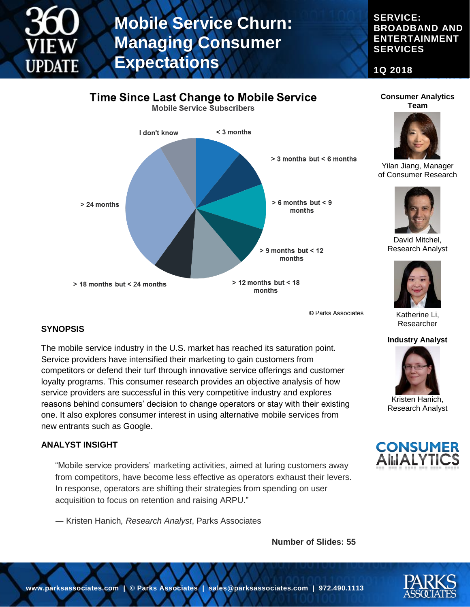**SERVICE: BROADBAND AND ENTERTAINMENT SERVICES**

**1Q 2018**



© Parks Associates

#### **SYNOPSIS**

The mobile service industry in the U.S. market has reached its saturation point. Service providers have intensified their marketing to gain customers from competitors or defend their turf through innovative service offerings and customer loyalty programs. This consumer research provides an objective analysis of how service providers are successful in this very competitive industry and explores reasons behind consumers' decision to change operators or stay with their existing one. It also explores consumer interest in using alternative mobile services from new entrants such as Google.

#### **ANALYST INSIGHT**

"Mobile service providers' marketing activities, aimed at luring customers away from competitors, have become less effective as operators exhaust their levers. In response, operators are shifting their strategies from spending on user acquisition to focus on retention and raising ARPU."

― Kristen Hanich*, Research Analyst*, Parks Associates

**Number of Slides: 55**





Yilan Jiang, Manager of Consumer Research



David Mitchel, Research Analyst



Katherine Li, Researcher

#### **Industry Analyst**



Kristen Hanich, Research Analyst



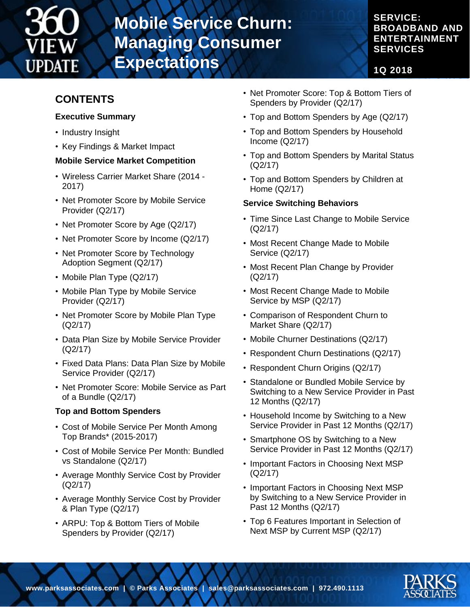

**SERVICE: BROADBAND AND ENTERTAINMENT SERVICES**

**1Q 2018**

### **CONTENTS**

#### **Executive Summary**

- Industry Insight
- Key Findings & Market Impact

#### **Mobile Service Market Competition**

- Wireless Carrier Market Share (2014 2017)
- Net Promoter Score by Mobile Service Provider (Q2/17)
- Net Promoter Score by Age (Q2/17)
- Net Promoter Score by Income (Q2/17)
- Net Promoter Score by Technology Adoption Segment (Q2/17)
- Mobile Plan Type (Q2/17)
- Mobile Plan Type by Mobile Service Provider (Q2/17)
- Net Promoter Score by Mobile Plan Type (Q2/17)
- Data Plan Size by Mobile Service Provider (Q2/17)
- Fixed Data Plans: Data Plan Size by Mobile Service Provider (Q2/17)
- Net Promoter Score: Mobile Service as Part of a Bundle (Q2/17)

#### **Top and Bottom Spenders**

- Cost of Mobile Service Per Month Among Top Brands\* (2015-2017)
- Cost of Mobile Service Per Month: Bundled vs Standalone (Q2/17)
- Average Monthly Service Cost by Provider (Q2/17)
- Average Monthly Service Cost by Provider & Plan Type (Q2/17)
- ARPU: Top & Bottom Tiers of Mobile Spenders by Provider (Q2/17)
- Net Promoter Score: Top & Bottom Tiers of Spenders by Provider (Q2/17)
- Top and Bottom Spenders by Age (Q2/17)
- Top and Bottom Spenders by Household Income (Q2/17)
- Top and Bottom Spenders by Marital Status (Q2/17)
- Top and Bottom Spenders by Children at Home (Q2/17)

#### **Service Switching Behaviors**

- Time Since Last Change to Mobile Service (Q2/17)
- Most Recent Change Made to Mobile Service (Q2/17)
- Most Recent Plan Change by Provider (Q2/17)
- Most Recent Change Made to Mobile Service by MSP (Q2/17)
- Comparison of Respondent Churn to Market Share (Q2/17)
- Mobile Churner Destinations (Q2/17)
- Respondent Churn Destinations (Q2/17)
- Respondent Churn Origins (Q2/17)
- Standalone or Bundled Mobile Service by Switching to a New Service Provider in Past 12 Months (Q2/17)
- Household Income by Switching to a New Service Provider in Past 12 Months (Q2/17)
- Smartphone OS by Switching to a New Service Provider in Past 12 Months (Q2/17)
- Important Factors in Choosing Next MSP (Q2/17)
- Important Factors in Choosing Next MSP by Switching to a New Service Provider in Past 12 Months (Q2/17)
- Top 6 Features Important in Selection of Next MSP by Current MSP (Q2/17)

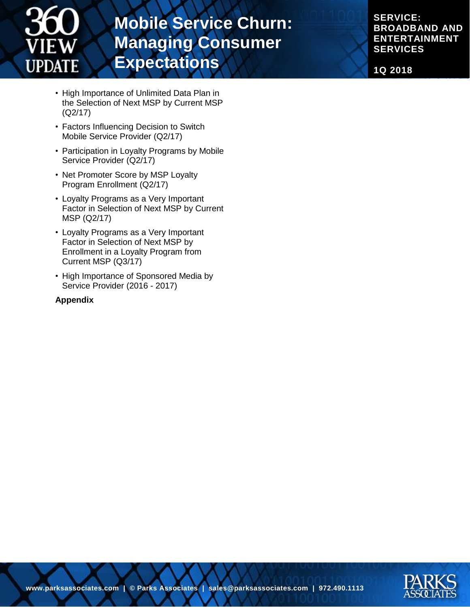

**SERVICE: BROADBAND AND ENTERTAINMENT SERVICES**

**1Q 2018**

- High Importance of Unlimited Data Plan in the Selection of Next MSP by Current MSP (Q2/17)
- Factors Influencing Decision to Switch Mobile Service Provider (Q2/17)
- Participation in Loyalty Programs by Mobile Service Provider (Q2/17)
- Net Promoter Score by MSP Loyalty Program Enrollment (Q2/17)
- Loyalty Programs as a Very Important Factor in Selection of Next MSP by Current MSP (Q2/17)
- Loyalty Programs as a Very Important Factor in Selection of Next MSP by Enrollment in a Loyalty Program from Current MSP (Q3/17)
- High Importance of Sponsored Media by Service Provider (2016 - 2017)

#### **Appendix**